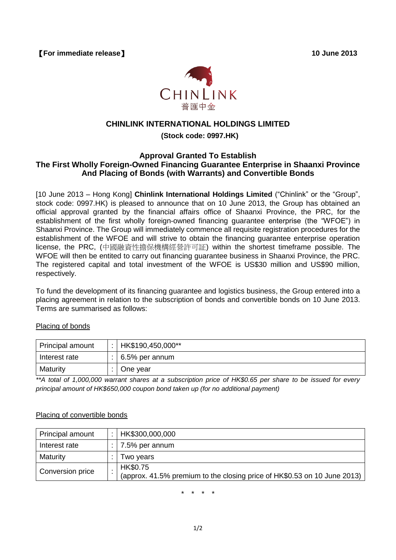【**For immediate release**】 **10 June 2013**



# **CHINLINK INTERNATIONAL HOLDINGS LIMITED**

## **(Stock code: 0997.HK)**

### **Approval Granted To Establish The First Wholly Foreign-Owned Financing Guarantee Enterprise in Shaanxi Province And Placing of Bonds (with Warrants) and Convertible Bonds**

[10 June 2013 – Hong Kong] **Chinlink International Holdings Limited** ("Chinlink" or the "Group", stock code: 0997.HK) is pleased to announce that on 10 June 2013, the Group has obtained an official approval granted by the financial affairs office of Shaanxi Province, the PRC, for the establishment of the first wholly foreign-owned financing guarantee enterprise (the "WFOE") in Shaanxi Province. The Group will immediately commence all requisite registration procedures for the establishment of the WFOE and will strive to obtain the financing guarantee enterprise operation license, the PRC, (中國融資性擔保機構經營許可証) within the shortest timeframe possible. The WFOE will then be entited to carry out financing guarantee business in Shaanxi Province, the PRC. The registered capital and total investment of the WFOE is US\$30 million and US\$90 million, respectively.

To fund the development of its financing guarantee and logistics business, the Group entered into a placing agreement in relation to the subscription of bonds and convertible bonds on 10 June 2013. Terms are summarised as follows:

### Placing of bonds

| Principal amount | HK\$190,450,000**      |
|------------------|------------------------|
| Interest rate    | $\vert$ 6.5% per annum |
| Maturity         | One vear               |

*\*\*A total of 1,000,000 warrant shares at a subscription price of HK\$0.65 per share to be issued for every principal amount of HK\$650,000 coupon bond taken up (for no additional payment)*

#### Placing of convertible bonds

| Principal amount | HK\$300,000,000                                                          |
|------------------|--------------------------------------------------------------------------|
| Interest rate    | : $\frac{1}{2}$ 7.5% per annum                                           |
| Maturity         | Two years                                                                |
| Conversion price | HK\$0.75                                                                 |
|                  | (approx. 41.5% premium to the closing price of HK\$0.53 on 10 June 2013) |

\* \* \* \*